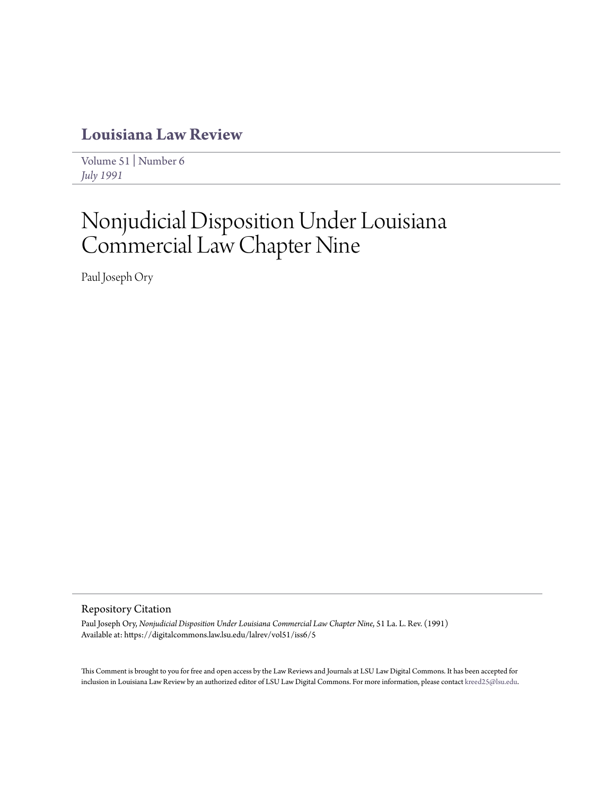# **[Louisiana Law Review](https://digitalcommons.law.lsu.edu/lalrev)**

[Volume 51](https://digitalcommons.law.lsu.edu/lalrev/vol51) | [Number 6](https://digitalcommons.law.lsu.edu/lalrev/vol51/iss6) *[July 1991](https://digitalcommons.law.lsu.edu/lalrev/vol51/iss6)*

# Nonjudicial Disposition Under Louisiana Commercial Law Chapter Nine

Paul Joseph Ory

### Repository Citation

Paul Joseph Ory, *Nonjudicial Disposition Under Louisiana Commercial Law Chapter Nine*, 51 La. L. Rev. (1991) Available at: https://digitalcommons.law.lsu.edu/lalrev/vol51/iss6/5

This Comment is brought to you for free and open access by the Law Reviews and Journals at LSU Law Digital Commons. It has been accepted for inclusion in Louisiana Law Review by an authorized editor of LSU Law Digital Commons. For more information, please contact [kreed25@lsu.edu](mailto:kreed25@lsu.edu).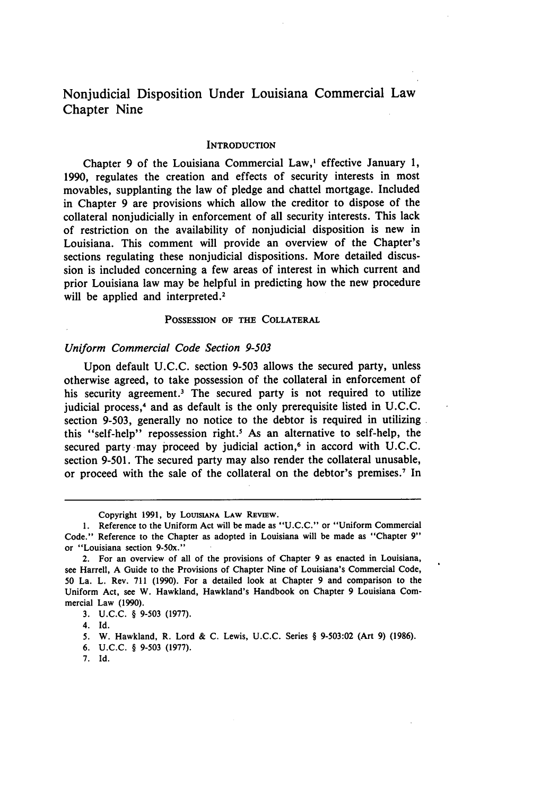## Nonjudicial Disposition Under Louisiana Commercial Law Chapter Nine

#### **INTRODUCTION**

Chapter **9** of the Louisiana Commercial Law,' effective January **1, 1990,** regulates the creation and effects of security interests in most movables, supplanting the law of pledge and chattel mortgage. Included in Chapter **9** are provisions which allow the creditor to dispose of the collateral nonjudicially in enforcement of all security interests. This lack of restriction on the availability of nonjudicial disposition is new in Louisiana. This comment will provide an overview of the Chapter's sections regulating these nonjudicial dispositions. More detailed discussion is included concerning a few areas of interest in which current and prior Louisiana law may be helpful in predicting how the new procedure will be applied and interpreted.<sup>2</sup>

#### POSSESSION **OF THE** COLLATERAL

#### *Uniform* Commercial Code Section **9-503**

Upon default U.C.C. section 9-503 allows the secured party, unless otherwise agreed, to take possession of the collateral in enforcement of his security agreement.<sup>3</sup> The secured party is not required to utilize judicial process, 4 and as default is the only prerequisite listed in U.C.C. section 9-503, generally no notice to the debtor is required in utilizing this "self-help" repossession right.5 As an alternative to self-help, the secured party may proceed by judicial action,<sup>6</sup> in accord with U.C.C. section 9-501. The secured party may also render the collateral unusable, or proceed with the sale of the collateral on the debtor's premises.7 In

Copyright **1991, by** LOUISIANA **LAW REVIEW.**

<sup>1.</sup> Reference to the Uniform Act will be made as "U.C.C." or "Uniform Commercial Code." Reference to the Chapter as adopted in Louisiana will be made as "Chapter **9"** or "Louisiana section 9-50x."

<sup>2.</sup> For an overview of all of the provisions of Chapter 9 as enacted in Louisiana, see Harrell, A Guide to the Provisions of Chapter Nine of Louisiana's Commercial Code, **50** La. L. Rev. 711 (1990). For a detailed look at Chapter 9 and comparison to the Uniform Act, see W. Hawkland, Hawkland's Handbook on Chapter 9 Louisiana Commercial Law (1990).

<sup>3.</sup> U.C.C. § 9-503 (1977).

<sup>4.</sup> Id.

**<sup>5.</sup>** W. Hawkland, R. Lord & C. Lewis, U.C.C. Series § 9-503:02 (Art 9) (1986).

<sup>6.</sup> U.C.C. § 9-503 (1977).

<sup>7.</sup> Id.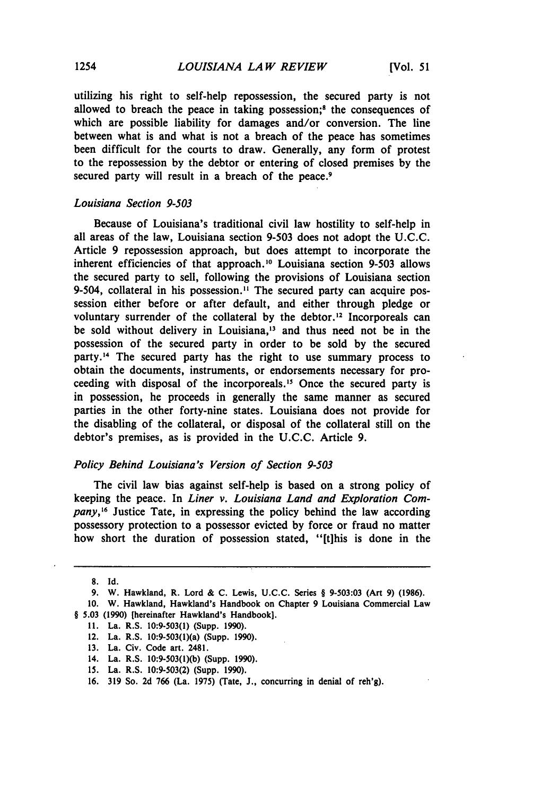utilizing his right to self-help repossession, the secured party is not allowed to breach the peace in taking possession;<sup>8</sup> the consequences of which are possible liability for damages and/or conversion. The line between what is and what is not a breach of the peace has sometimes been difficult for the courts to draw. Generally, any form of protest to the repossession by the debtor or entering of closed premises by the secured party will result in a breach of the peace.<sup>9</sup>

#### Louisiana Section 9-503

Because of Louisiana's traditional civil law hostility to self-help in all areas of the law, Louisiana section 9-503 does not adopt the U.C.C. Article 9 repossession approach, but does attempt to incorporate the inherent efficiencies of that approach.<sup>10</sup> Louisiana section 9-503 allows the secured party to sell, following the provisions of Louisiana section 9-504, collateral in his possession.<sup>11</sup> The secured party can acquire possession either before or after default, and either through pledge or voluntary surrender of the collateral by the debtor.<sup>12</sup> Incorporeals can be sold without delivery in Louisiana,<sup>13</sup> and thus need not be in the possession of the secured party in order to be sold by the secured party.<sup>14</sup> The secured party has the right to use summary process to obtain the documents, instruments, or endorsements necessary for proceeding with disposal of the incorporeals.1' Once the secured party is in possession, he proceeds in generally the same manner as secured parties in the other forty-nine states. Louisiana does not provide for the disabling of the collateral, or disposal of the collateral still on the debtor's premises, as is provided in the U.C.C. Article 9.

#### Policy Behind Louisiana's Version of Section 9-503

The civil law bias against self-help is based on a strong policy of keeping the peace. In *Liner v. Louisiana Land and Exploration Company,16* Justice Tate, in expressing the policy behind the law according possessory protection to a possessor evicted by force or fraud no matter how short the duration of possession stated, "[tihis is done in the

**<sup>8.</sup>** Id.

<sup>9.</sup> W. Hawkland, R. Lord & C. Lewis, U.C.C. Series § 9-503:03 (Art 9) (1986).

<sup>10.</sup> W. Hawkland, Hawkland's Handbook on Chapter 9 Louisiana Commercial Law § 5.03 (1990) [hereinafter Hawkland's Handbook].

<sup>11.</sup> La. R.S. 10:9-503(1) (Supp. 1990).

<sup>12.</sup> La. R.S. 10:9-503(1)(a) (Supp. 1990).

<sup>13.</sup> La. Civ. Code art. 2481.

<sup>14.</sup> La. R.S. 10:9-503(1)(b) (Supp. 1990).

**<sup>15.</sup>** La. R.S. 10:9-503(2) (Supp. 1990).

<sup>16. 319</sup> So. 2d **766** (La. 1975) (Tate, **J.,** concurring in denial of reh'g).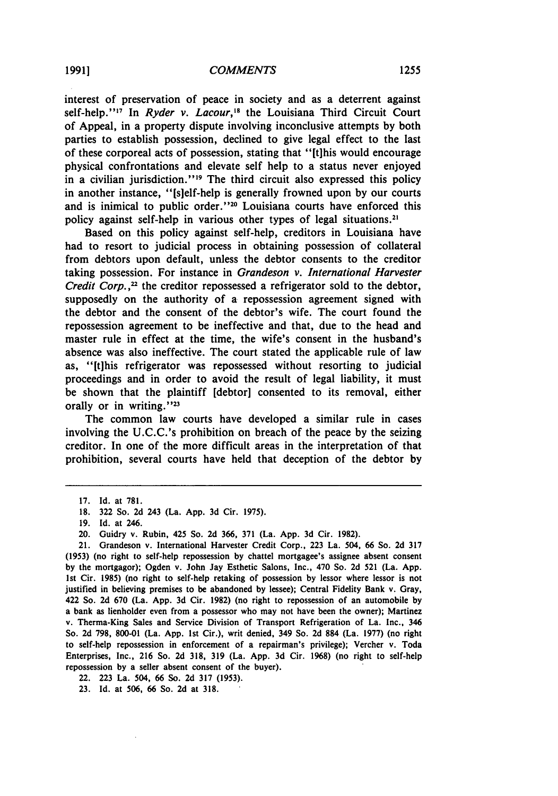interest of preservation of peace in society and as a deterrent against self-help."<sup>17</sup> In *Ryder v. Lacour*,<sup>18</sup> the Louisiana Third Circuit Court of Appeal, in a property dispute involving inconclusive attempts **by** both parties to establish possession, declined to give legal effect to the last of these corporeal acts of possession, stating that "[tihis would encourage physical confrontations and elevate self help to a status never enjoyed in a civilian jurisdiction."<sup>19</sup> The third circuit also expressed this policy in another instance, "[sielf-help is generally frowned upon by our courts and is inimical to public order.' **'20** Louisiana courts have enforced this policy against self-help in various other types of legal situations.2'

Based on this policy against self-help, creditors in Louisiana have had to resort to judicial process in obtaining possession of collateral from debtors upon default, unless the debtor consents to the creditor taking possession. For instance in *Grandeson v. International Harvester Credit Corp.,22* the creditor repossessed a refrigerator sold to the debtor, supposedly on the authority of a repossession agreement signed with the debtor and the consent of the debtor's wife. The court found the repossession agreement to be ineffective and that, due to the head and master rule in effect at the time, the wife's consent in the husband's absence was also ineffective. The court stated the applicable rule of law as, "[t]his refrigerator was repossessed without resorting to judicial proceedings and in order to avoid the result of legal liability, it must be shown that the plaintiff [debtor] consented to its removal, either orally or in writing."<sup>23</sup>

The common law courts have developed a similar rule in cases involving the U.C.C.'s prohibition on breach of the peace **by** the seizing creditor. In one of the more difficult areas in the interpretation of that prohibition, several courts have held that deception of the debtor by

22. 223 La. 504, 66 So. 2d 317 (1953).

**23.** Id. at 506, 66 So. 2d at 318.

<sup>17.</sup> Id. at 781.

**<sup>18.</sup>** 322 So. 2d 243 (La. App. 3d Cir. 1975).

<sup>19.</sup> Id. at 246.

<sup>20.</sup> Guidry v. Rubin, 425 So. 2d 366, 371 (La. App. **3d** Cir. 1982).

<sup>21.</sup> Grandeson v. International Harvester Credit Corp., 223 La. 504, 66 So. 2d **317** (1953) (no right to self-help repossession **by** chattel mortgagee's assignee absent consent **by** the mortgagor); Ogden v. John Jay Esthetic Salons, Inc., 470 So. 2d 521 (La. App. 1st Cir. 1985) (no right to self-help retaking of possession by lessor where lessor is not justified in believing premises to be abandoned **by** lessee); Central Fidelity Bank v. Gray, 422 So. 2d 670 (La. App. 3d Cir. 1982) (no right to repossession of an automobile **by** a bank as lienholder even from a possessor who may not have been the owner); Martinez v. Therma-King Sales and Service Division of Transport Refrigeration of La. Inc., 346 So. 2d 798, 800-01 (La. App. 1st Cir.), writ denied, 349 So. 2d **884** (La. 1977) (no right to self-help repossession in enforcement of a repairman's privilege); Vercher v. Toda Enterprises, Inc., 216 So. 2d **318, 319** (La. App. **3d** Cir. 1968) (no right to self-help repossession **by** a seller absent consent of the buyer).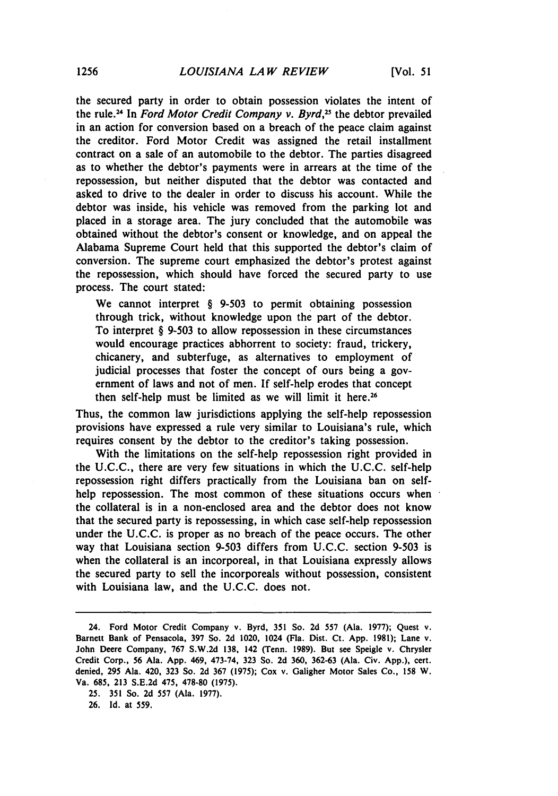the secured party in order to obtain possession violates the intent of the rule.2 4 In *Ford Motor Credit Company v. Byrd'2* the debtor prevailed in an action for conversion based on a breach of the peace claim against the creditor. Ford Motor Credit was assigned the retail installment contract on a sale of an automobile to the debtor. The parties disagreed as to whether the debtor's payments were in arrears at the time of the repossession, but neither disputed that the debtor was contacted and asked to drive to the dealer in order to discuss his account. While the debtor was inside, his vehicle was removed from the parking lot and placed in a storage area. The jury concluded that the automobile was obtained without the debtor's consent or knowledge, and on appeal the Alabama Supreme Court held that this supported the debtor's claim of conversion. The supreme court emphasized the debtor's protest against the repossession, which should have forced the secured party to use process. The court stated:

We cannot interpret § **9-503** to permit obtaining possession through trick, without knowledge upon the part of the debtor. To interpret § **9-503** to allow repossession in these circumstances would encourage practices abhorrent to society: fraud, trickery, chicanery, and subterfuge, as alternatives to employment of judicial processes that foster the concept of ours being a government of laws and not of men. If self-help erodes that concept then self-help must be limited as we will limit it here.<sup>26</sup>

Thus, the common law jurisdictions applying the self-help repossession provisions have expressed a rule very similar to Louisiana's rule, which requires consent **by** the debtor to the creditor's taking possession.

With the limitations on the self-help repossession right provided in the **U.C.C.,** there are very few situations in which the **U.C.C.** self-help repossession right differs practically from the Louisiana ban on selfhelp repossession. The most common of these situations occurs when the collateral is in a non-enclosed area and the debtor does not know that the secured party is repossessing, in which case self-help repossession under the **U.C.C.** is proper as no breach of the peace occurs. The other way that Louisiana section **9-503** differs from **U.C.C.** section **9-503** is when the collateral is an incorporeal, in that Louisiana expressly allows the secured party to sell the incorporeals without possession, consistent with Louisiana law, and the **U.C.C.** does not.

<sup>24.</sup> Ford Motor Credit Company v. Byrd, **351** So. **2d 557** (Ala. **1977);** Quest v. Barnett Bank of Pensacola, **397** So. **2d** 1020, 1024 (Fla. Dist. Ct. **App. 1981);** Lane v. John Deere Company, **767 S.W.2d 138,** 142 (Tenn. **1989).** But see Speigle v. Chrysler Credit Corp., **56** Ala. **App.** 469, 473-74, **323** So. **2d 360, 362-63** (Ala. Civ. **App.),** cert. denied, **295** Ala. 420, **323** So. **2d 367 (1975);** Cox v. Galigher Motor Sales Co., **158** W. Va. **685, 213 S.E.2d** 475, **478-80 (1975).**

**<sup>25. 351</sup>** So. **2d 557** (Ala. **1977).**

**<sup>26.</sup>** Id. at **559.**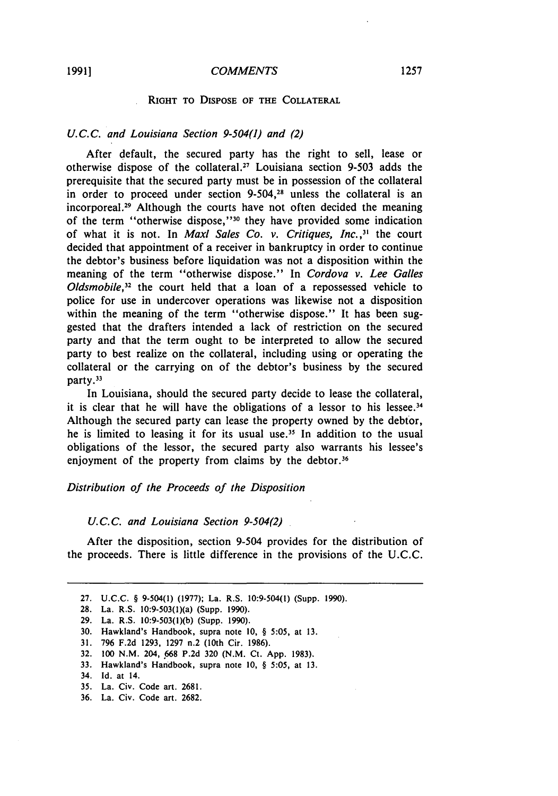#### **RIGHT TO DISPOSE OF THE COLLATERAL**

#### *U.C.C. and Louisiana Section 9-504(1) and (2)*

After default, the secured party has the right to sell, lease or otherwise dispose of the collateral.<sup>27</sup> Louisiana section 9-503 adds the prerequisite that the secured party must be in possession of the collateral in order to proceed under section **9-504,28** unless the collateral is an incorporeal. 29 Although the courts have not often decided the meaning of the term "otherwise dispose," 30 they have provided some indication of what it is not. In *Maxl Sales Co. v. Critiques, Inc.,"* the court decided that appointment of a receiver in bankruptcy in order to continue the debtor's business before liquidation was not a disposition within the meaning of the term "otherwise dispose." In *Cordova v. Lee Galles Oldsmobile*,<sup>32</sup> the court held that a loan of a repossessed vehicle to police for use in undercover operations was likewise not a disposition within the meaning of the term "otherwise dispose." It has been suggested that the drafters intended a lack of restriction on the secured party and that the term ought to be interpreted to allow the secured party to best realize on the collateral, including using or operating the collateral or the carrying on of the debtor's business by the secured party.<sup>33</sup>

In Louisiana, should the secured party decide to lease the collateral, it is clear that he will have the obligations of a lessor to his lessee. $34$ Although the secured party can lease the property owned by the debtor, he is limited to leasing it for its usual use.<sup>35</sup> In addition to the usual obligations of the lessor, the secured party also warrants his lessee's enjoyment of the property from claims by the debtor.<sup>36</sup>

#### *Distribution of the Proceeds of the Disposition*

#### *U.C.C. and Louisiana Section 9-504(2)*

After the disposition, section 9-504 provides for the distribution of the proceeds. There is little difference in the provisions of the U.C.C.

- **31. 796 F.2d 1293, 1297** n.2 (10th Cir. **1986).**
- **32. 100 N.M.** 204, **.668 P.2d 320 (N.M.** Ct. **App. 1983).**
- 33. Hawkland's Handbook, supra note **10,** *§* 5:05, at **13.**

- 35. La. Civ. Code art. 2681.
- 36. La. Civ. Code art. 2682.

<sup>27.</sup> U.C.C. § 9-504(1) (1977); La. R.S. 10:9-504(1) (Supp. 1990).

**<sup>28.</sup>** La. R.S. 10:9-503(1)(a) (Supp. **1990).**

**<sup>29.</sup>** La. R.S. **10:9-503(l)(b)** (Supp. **1990).**

**<sup>30.</sup>** Hawkland's Handbook, supra note **10,** *§* **5:05,** at **13.**

<sup>34.</sup> **Id.** at 14.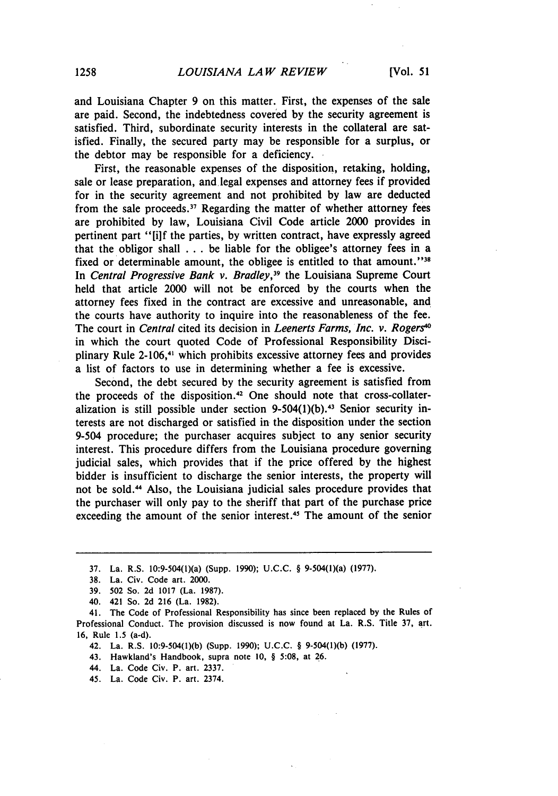and Louisiana Chapter 9 on this matter. First, the expenses of the sale are paid. Second, the indebtedness covered by the security agreement is satisfied. Third, subordinate security interests in the collateral are satisfied. Finally, the secured party may be responsible for a surplus, or the debtor may be responsible for a deficiency.

First, the reasonable expenses of the disposition, retaking, holding, sale or lease preparation, and legal expenses and attorney fees if provided for in the security agreement and not prohibited by law are deducted from the sale proceeds.<sup>37</sup> Regarding the matter of whether attorney fees are prohibited **by** law, Louisiana Civil Code article 2000 provides in pertinent part "[i]f the parties, by written contract, have expressly agreed that the obligor shall ... be liable for the obligee's attorney fees in a fixed or determinable amount, the obligee is entitled to that amount."<sup>38</sup> In Central Progressive Bank *v. Bradley,39* the Louisiana Supreme Court held that article 2000 will not be enforced by the courts when the attorney fees fixed in the contract are excessive and unreasonable, and the courts have authority to inquire into the reasonableness of the fee. The court in Central cited its decision in *Leenerts Farms, Inc. v. Rogerse* in which the court quoted Code of Professional Responsibility Disciplinary Rule 2-106,<sup>41</sup> which prohibits excessive attorney fees and provides a list of factors to use in determining whether a fee is excessive.

Second, the debt secured by the security agreement is satisfied from the proceeds of the disposition. 42 One should note that cross-collateralization is still possible under section  $9-504(1)(b)$ .<sup>43</sup> Senior security interests are not discharged or satisfied in the disposition under the section 9-504 procedure; the purchaser acquires subject to any senior security interest. This procedure differs from the Louisiana procedure governing judicial sales, which provides that if the price offered by the highest bidder is insufficient to discharge the senior interests, the property will not be sold." Also, the Louisiana judicial sales procedure provides that the purchaser will only pay to the sheriff that part of the purchase price exceeding the amount of the senior interest.<sup>45</sup> The amount of the senior

- 42. La. R.S. 10:9-504(1)(b) (Supp. 1990); U.C.C. § 9-504(1)(b) (1977).
- 43. Hawkland's Handbook, supra note 10, § 5:08, at 26.
- 44. La. Code Civ. P. art. 2337.
- 45. La. Code Civ. P. art. 2374.

<sup>37.</sup> La. R.S. 10:9-504(l)(a) (Supp. 1990); **U.C.C.** § 9-504(l)(a) (1977).

<sup>38.</sup> La. Civ. Code art. 2000.

<sup>39. 502</sup> So. 2d 1017 (La. 1987).

<sup>40. 421</sup> So. 2d 216 (La. 1982).

<sup>41.</sup> The Code of Professional Responsibility has since been replaced by the Rules of Professional Conduct. The provision discussed is now found at La. R.S. Title 37, art. 16, Rule 1.5 (a-d).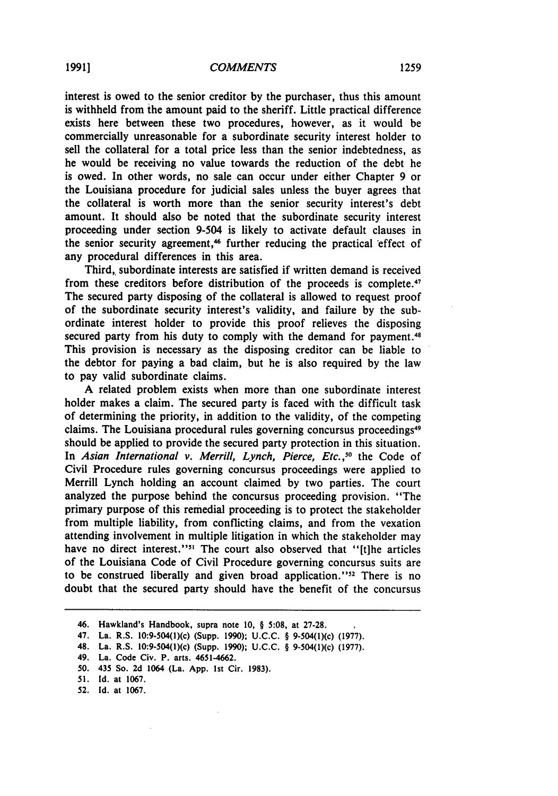interest is owed to the senior creditor **by** the purchaser, thus this amount is withheld from the amount paid to the sheriff. Little practical difference exists here between these two procedures, however, as it would be commercially unreasonable for a subordinate security interest holder to sell the collateral for a total price less than the senior indebtedness, as he would be receiving no value towards the reduction of the debt he is owed. In other words, no sale can occur under either Chapter 9 or the Louisiana procedure for judicial sales unless the buyer agrees that the collateral is worth more than the senior security interest's debt amount. It should also be noted that the subordinate security interest proceeding under section 9-504 is likely to activate default clauses in the senior security agreement,<sup>46</sup> further reducing the practical effect of any procedural differences in this area.

Third, subordinate interests are satisfied if written demand is received from these creditors before distribution of the proceeds is complete.<sup>47</sup> The secured party disposing of the collateral is allowed to request proof of the subordinate security interest's validity, and failure by the subordinate interest holder to provide this proof relieves the disposing secured party from his duty to comply with the demand for payment.<sup>48</sup> This provision is necessary as the disposing creditor can be liable to the debtor for paying a bad claim, but he is also required by the law to pay valid subordinate claims.

A related problem exists when more than one subordinate interest holder makes a claim. The secured party is faced with the difficult task of determining the priority, in addition to the validity, of the competing claims. The Louisiana procedural rules governing concursus proceedings<sup>49</sup> should be applied to provide the secured party protection in this situation. In *Asian International v. Merrill, Lynch, Pierce, Etc.*,<sup>50</sup> the Code of Civil Procedure rules governing concursus proceedings were applied to Merrill Lynch holding an account claimed by two parties. The court analyzed the purpose behind the concursus proceeding provision. "The primary purpose of this remedial proceeding is to protect the stakeholder from multiple liability, from conflicting claims, and from the vexation attending involvement in multiple litigation in which the stakeholder may have no direct interest."<sup>51</sup> The court also observed that "[t]he articles of the Louisiana Code of Civil Procedure governing concursus suits are to be construed liberally and given broad application.' **'52** There is no doubt that the secured party should have the benefit of the concursus

<sup>46.</sup> Hawkland's Handbook, supra note **10,** § **5:08,** at **27-28.**

<sup>47.</sup> La. R.S. 10:9-504(1)(c) (Supp. **1990); U.C.C.** § 9-504(i)(c) **(1977).**

<sup>48.</sup> La. R.S. 10:9-504(1)(c) (Supp. **1990); U.C.C.** § 9-504(1)(c) **(1977).**

<sup>49.</sup> La. Code Civ. P. arts. 4651-4662.

**<sup>50.</sup>** 435 So. **2d** 1064 (La. **App. 1st** Cir. **1983).**

**<sup>51.</sup> Id.** at **1067.**

**<sup>52.</sup> Id.** at **1067.**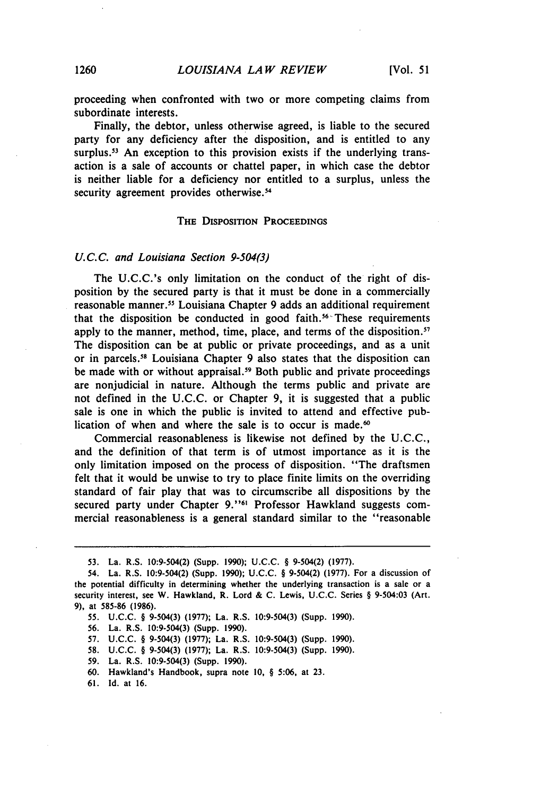proceeding when confronted with two or more competing claims from subordinate interests.

Finally, the debtor, unless otherwise agreed, is liable to the secured party for any deficiency after the disposition, and is entitled to any surplus.<sup>53</sup> An exception to this provision exists if the underlying transaction is a sale of accounts or chattel paper, in which case the debtor is neither liable for a deficiency nor entitled to a surplus, unless the security agreement provides otherwise.<sup>54</sup>

#### THE DISPOSITION **PROCEEDINGS**

#### *U.C.C.* and Louisiana Section 9-504(3)

The U.C.C.'s only limitation on the conduct of the right of disposition by the secured party is that it must be done in a commercially reasonable manner." Louisiana Chapter 9 adds an additional requirement that the disposition be conducted in good faith. $56 -$ These requirements apply to the manner, method, time, place, and terms of the disposition.<sup>57</sup> The disposition can be at public or private proceedings, and as a unit or in parcels.<sup>58</sup> Louisiana Chapter 9 also states that the disposition can be made with or without appraisal.<sup>59</sup> Both public and private proceedings are nonjudicial in nature. Although the terms public and private are not defined in the U.C.C. or Chapter 9, it is suggested that a public sale is one in which the public is invited to attend and effective publication of when and where the sale is to occur is made.<sup>60</sup>

Commercial reasonableness is likewise not defined by the U.C.C., and the definition of that term is of utmost importance as it is the only limitation imposed on the process of disposition. "The draftsmen felt that it would be unwise to try to place finite limits on the overriding standard of fair play that was to circumscribe all dispositions by the secured party under Chapter **9.'"6** Professor Hawkland suggests commercial reasonableness is a general standard similar to the "reasonable

**<sup>53.</sup>** La. R.S. 10:9-504(2) (Supp. 1990); U.C.C. § 9-504(2) (1977).

<sup>54.</sup> La. R.S. 10:9-504(2) (Supp. 1990); U.C.C. § 9-504(2) (1977). For a discussion of the potential difficulty in determining whether the underlying transaction is a sale or a security interest, see W. Hawkland, R. Lord & C. Lewis, U.C.C. Series § 9-504:03 (Art. **9),** at 585-86 **(1986).**

<sup>55.</sup> U.C.C. § 9-504(3) (1977); La. R.S. 10:9-504(3) (Supp. 1990).

<sup>56.</sup> La. R.S. 10:9-504(3) (Supp. 1990).

<sup>57.</sup> U.C.C. § 9-504(3) (1977); La. R.S. 10:9-504(3) (Supp. 1990).

<sup>58.</sup> U.C.C. § 9-504(3) (1977); La. R.S. 10:9-504(3) (Supp. 1990).

<sup>59.</sup> La. R.S. 10:9-504(3) (Supp. 1990).

<sup>60.</sup> Hawkland's Handbook, supra note 10, § 5:06, at **23.**

<sup>61.</sup> Id. at 16.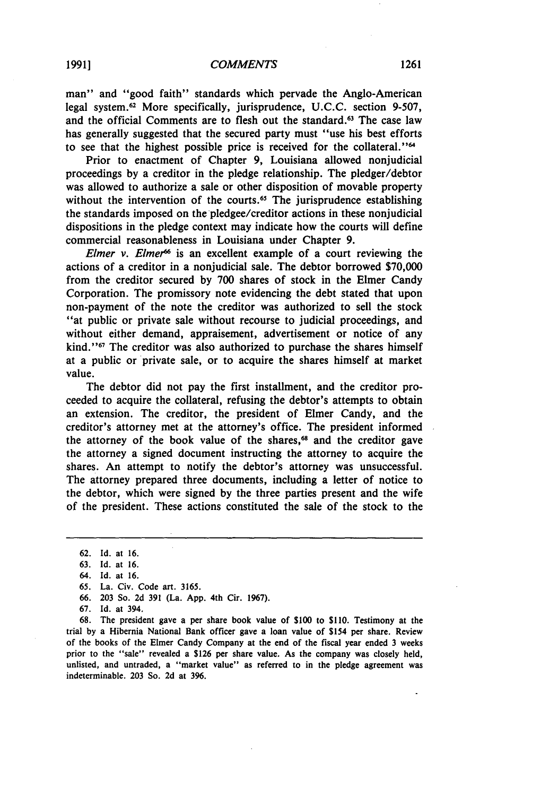man" and "good faith" standards which pervade the Anglo-American legal system. 62 More specifically, jurisprudence, U.C.C. section 9-507, and the official Comments are to flesh out the standard.<sup>63</sup> The case law has generally suggested that the secured party must "use his best efforts to see that the highest possible price is received for the collateral."<sup>64</sup>

Prior to enactment of Chapter 9, Louisiana allowed nonjudicial proceedings by a creditor in the pledge relationship. The pledger/debtor was allowed to authorize a sale or other disposition of movable property without the intervention of the courts.<sup>65</sup> The jurisprudence establishing the standards imposed on the pledgee/creditor actions in these nonjudicial dispositions in the pledge context may indicate how the courts will define commercial reasonableness in Louisiana under Chapter 9.

Elmer v. Elmer<sup>66</sup> is an excellent example of a court reviewing the actions of a creditor in a nonjudicial sale. The debtor borrowed \$70,000 from the creditor secured by 700 shares of stock in the Elmer Candy Corporation. The promissory note evidencing the debt stated that upon non-payment of the note the creditor was authorized to sell the stock "at public or private sale without recourse to judicial proceedings, and without either demand, appraisement, advertisement or notice of any kind.'' $67$  The creditor was also authorized to purchase the shares himself at a public or private sale, or to acquire the shares himself at market value.

The debtor did not pay the first installment, and the creditor proceeded to acquire the collateral, refusing the debtor's attempts to obtain an extension. The creditor, the president of Elmer Candy, and the creditor's attorney met at the attorney's office. The president informed the attorney of the book value of the shares,<sup>68</sup> and the creditor gave the attorney a signed document instructing the attorney to acquire the shares. An attempt to notify the debtor's attorney was unsuccessful. The attorney prepared three documents, including a letter of notice to the debtor, which were signed by the three parties present and the wife of the president. These actions constituted the sale of the stock to the

64. Id. at 16.

<sup>62.</sup> Id. at 16.

<sup>63.</sup> Id. at 16.

<sup>65.</sup> La. Civ. Code art. 3165.

<sup>66. 203</sup> So. 2d 391 (La. App. 4th Cir. 1967).

<sup>67.</sup> Id. at 394.

<sup>68.</sup> The president gave a per share book value of **\$100** to \$110. Testimony at the trial by a Hibernia National Bank officer gave a loan value of \$154 per share. Review of the books of the Elmer Candy Company at the end of the fiscal year ended 3 weeks prior to the "sale" revealed a \$126 per share value. As the company was closely held, unlisted, and untraded, a "market value" as referred to in the pledge agreement was indeterminable. 203 So. 2d at 396.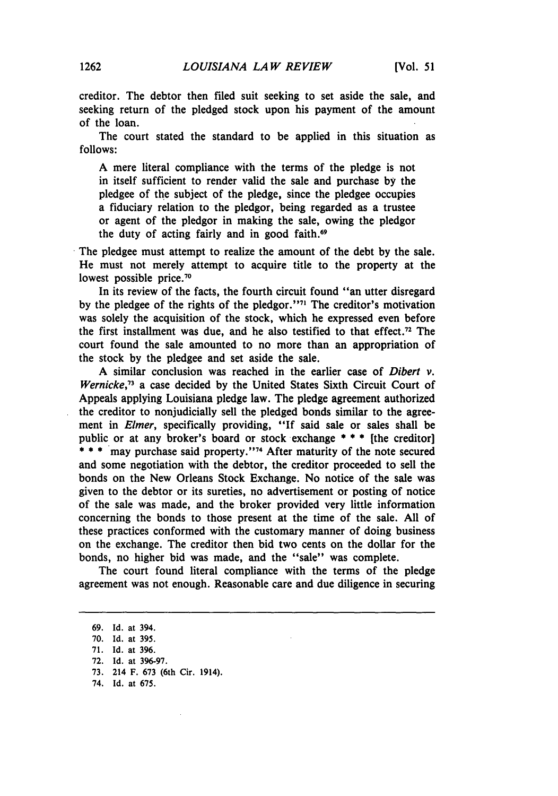creditor. The debtor then filed suit seeking to set aside the sale, and seeking return of the pledged stock upon his payment of the amount of the loan.

The court stated the standard to be applied in this situation as follows:

A mere literal compliance with the terms of the pledge is not in itself sufficient to render valid the sale and purchase **by** the pledgee of the subject of the pledge, since the pledgee occupies a fiduciary relation to the pledgor, being regarded as a trustee or agent of the pledgor in making the sale, owing the pledgor the duty of acting fairly and in good faith.<sup>69</sup>

The pledgee must attempt to realize the amount of the debt by the sale. He must not merely attempt to acquire title to the property at the lowest possible price.<sup>70</sup>

In its review of the facts, the fourth circuit found "an utter disregard by the pledgee of the rights of the pledgor."<sup>71</sup> The creditor's motivation was solely the acquisition of the stock, which he expressed even before the first installment was due, and he also testified to that effect. 72 The court found the sale amounted to no more than an appropriation of the stock **by** the pledgee and set aside the sale.

**A** similar conclusion was reached in the earlier case of *Dibert v. Wernicke,73* a case decided **by** the United States Sixth Circuit Court of Appeals applying Louisiana pledge law. The pledge agreement authorized the creditor to nonjudicially sell the pledged bonds similar to the agreement in *Elmer,* specifically providing, **"If** said sale or sales shall be public or at any broker's board or stock exchange **\* \* \*** [the creditor] \*\*\* may purchase said property."<sup>74</sup> After maturity of the note secured and some negotiation with the debtor, the creditor proceeded to sell the bonds on the New Orleans Stock Exchange. No notice of the sale was given to the debtor or its sureties, no advertisement or posting of notice of the sale was made, and the broker provided very little information concerning the bonds to those present at the time of the sale. **All** of these practices conformed with the customary manner of doing business on the exchange. The creditor then bid two cents on the dollar for the bonds, no higher bid was made, and the "sale" was complete.

The court found literal compliance with the terms of the pledge agreement was not enough. Reasonable care and due diligence in securing

**73.** 214 F. **673** (6th Cir. 1914).

**<sup>69.</sup> Id.** at 394.

**<sup>70.</sup> Id.** at **395.**

**<sup>71.</sup> Id.** at **396.**

**<sup>72.</sup> Id.** at **396-97.**

<sup>74.</sup> Id. at **675.**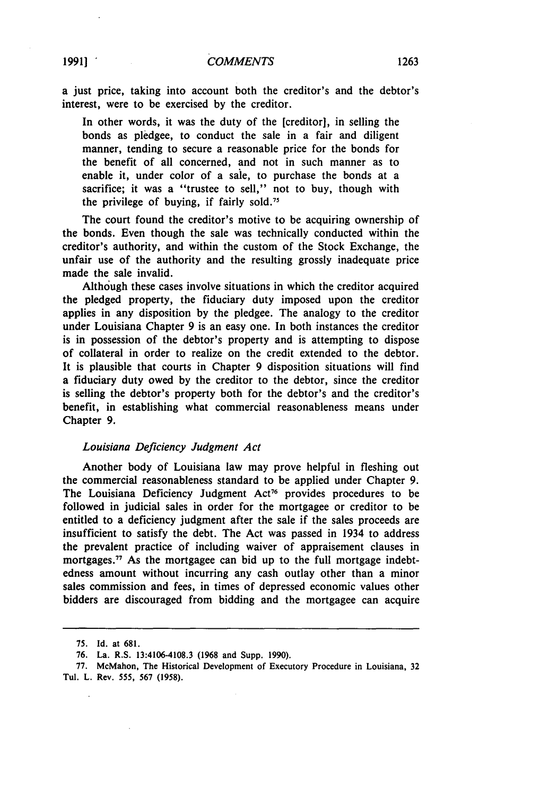a just price, taking into account both the creditor's and the debtor's interest, were to be exercised by the creditor.

In other words, it was the duty of the [creditor], in selling the bonds as pledgee, to conduct the sale in a fair and diligent manner, tending to secure a reasonable price for the bonds for the benefit of all concerned, and not in such manner as to enable it, under color of a sale, to purchase the bonds at a sacrifice; it was a "trustee to sell," not to buy, though with the privilege of buying, if fairly sold.<sup>75</sup>

The court found the creditor's motive to be acquiring ownership of the bonds. Even though the sale was technically conducted within the creditor's authority, and within the custom of the Stock Exchange, the unfair use of the authority and the resulting grossly inadequate price made the sale invalid.

Although these cases involve situations in which the creditor acquired the pledged property, the fiduciary duty imposed upon the creditor applies in any disposition by the pledgee. The analogy to the creditor under Louisiana Chapter 9 is an easy one. In both instances the creditor is in possession of the debtor's property and is attempting to dispose of collateral in order to realize on the credit extended to the debtor. It is plausible that courts in Chapter 9 disposition situations will find a fiduciary duty owed by the creditor to the debtor, since the creditor is selling the debtor's property both for the debtor's and the creditor's benefit, in establishing what commercial reasonableness means under Chapter 9.

#### *Louisiana Deficiency Judgment Act*

Another body of Louisiana law may prove helpful in fleshing out the commercial reasonableness standard to be applied under Chapter 9. The Louisiana Deficiency Judgment Act<sup>76</sup> provides procedures to be followed in judicial sales in order for the mortgagee or creditor to be entitled to a deficiency judgment after the sale if the sales proceeds are insufficient to satisfy the debt. The Act was passed in 1934 to address the prevalent practice of including waiver of appraisement clauses in mortgages.<sup> $77$ </sup> As the mortgagee can bid up to the full mortgage indebtedness amount without incurring any cash outlay other than a minor sales commission and fees, in times of depressed economic values other bidders are discouraged from bidding and the mortgagee can acquire

<sup>75.</sup> Id. at 681.

**<sup>76.</sup>** La. R.S. 13:4106-4108.3 **(1968** and Supp. **1990).**

**<sup>77.</sup>** McMahon, The Historical Development of Executory Procedure in Louisiana, **32** Tul. L. Rev. 555, **567 (1958).**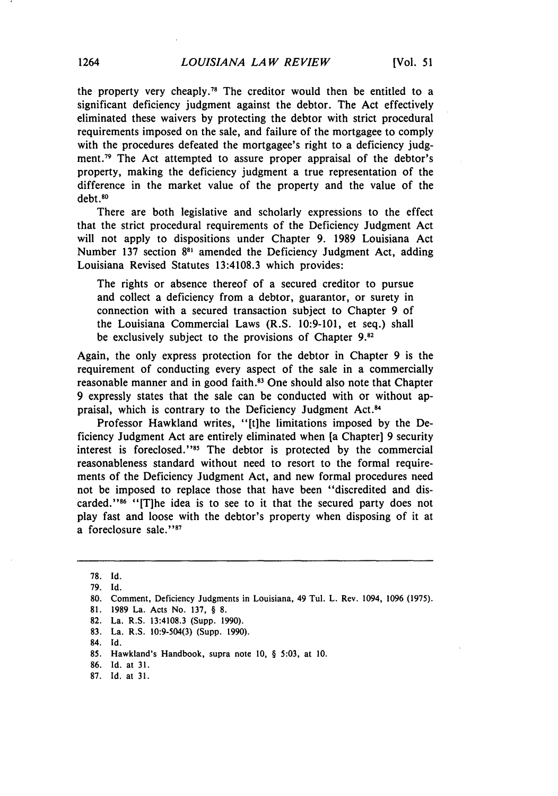the property very cheaply.<sup>78</sup> The creditor would then be entitled to a significant deficiency judgment against the debtor. The Act effectively eliminated these waivers by protecting the debtor with strict procedural requirements imposed on the sale, and failure of the mortgagee to comply with the procedures defeated the mortgagee's right to a deficiency judgment.<sup>79</sup> The Act attempted to assure proper appraisal of the debtor's property, making the deficiency judgment a true representation of the difference in the market value of the property and the value of the debt **.8o**

There are both legislative and scholarly expressions to the effect that the strict procedural requirements of the Deficiency Judgment Act will not apply to dispositions under Chapter 9. 1989 Louisiana Act Number 137 section  $8^{81}$  amended the Deficiency Judgment Act, adding Louisiana Revised Statutes 13:4108.3 which provides:

The rights or absence thereof of a secured creditor to pursue and collect a deficiency from a debtor, guarantor, or surety in connection with a secured transaction subject to Chapter 9 of the Louisiana Commercial Laws (R.S. 10:9-101, et seq.) shall be exclusively subject to the provisions of Chapter **9.82**

Again, the only express protection for the debtor in Chapter 9 is the requirement of conducting every aspect of the sale in a commercially reasonable manner and in good faith.<sup>83</sup> One should also note that Chapter 9 expressly states that the sale can be conducted with or without appraisal, which is contrary to the Deficiency Judgment Act.<sup>84</sup>

Professor Hawkland writes, "[tihe limitations imposed by the Deficiency Judgment Act are entirely eliminated when [a Chapter] 9 security interest is foreclosed."<sup>85</sup> The debtor is protected by the commercial reasonableness standard without need to resort to the formal requirements of the Deficiency Judgment Act, and new formal procedures need not be imposed to replace those that have been "discredited and discarded."<sup>86</sup> "[T]he idea is to see to it that the secured party does not play fast and loose with the debtor's property when disposing of it at a foreclosure sale."87

83. La. R.S. 10:9-504(3) (Supp. 1990).

87. Id. at 31.

<sup>78.</sup> **Id.**

<sup>79.</sup> **Id.**

<sup>80.</sup> Comment, Deficiency Judgments in Louisiana, 49 Tul. L. Rev. 1094, 1096 (1975).

**<sup>81.</sup>** 1989 La. Acts No. **137,** § **8,**

<sup>82.</sup> La. R.S. 13:4108.3 (Supp. 1990).

<sup>84.</sup> **Id.**

<sup>85.</sup> Hawkland's Handbook, supra note 10, § 5:03, at 10.

<sup>86.</sup> Id. at 31.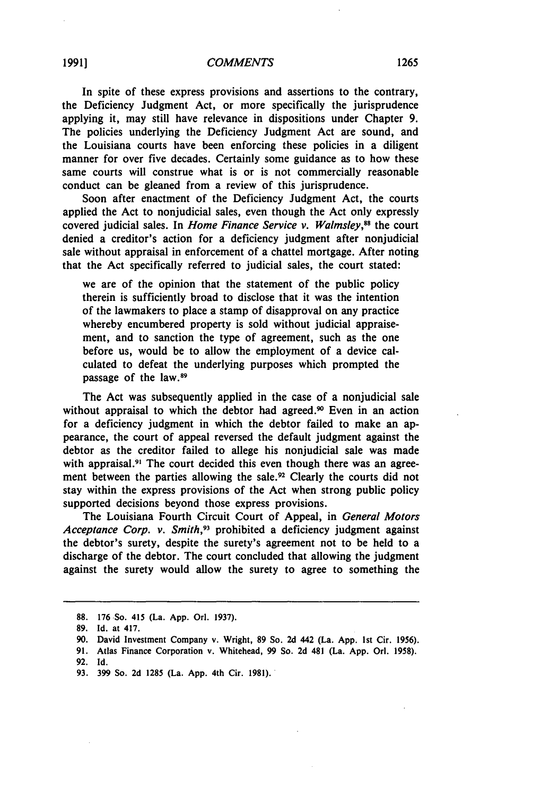In spite of these express provisions and assertions to the contrary, the Deficiency Judgment Act, or more specifically the jurisprudence applying it, may still have relevance in dispositions under Chapter 9. The policies underlying the Deficiency Judgment Act are sound, and the Louisiana courts have been enforcing these policies in a diligent manner for over five decades. Certainly some guidance as to how these same courts will construe what is or is not commercially reasonable conduct can be gleaned from a review of this jurisprudence.

Soon after enactment of the Deficiency Judgment Act, the courts applied the Act to nonjudicial sales, even though the Act only expressly covered judicial sales. In *Home Finance Service v. Walmsley,88* the court denied a creditor's action for a deficiency judgment after nonjudicial sale without appraisal in enforcement of a chattel mortgage. After noting that the Act specifically referred to judicial sales, the court stated:

we are of the opinion that the statement of the public policy therein is sufficiently broad to disclose that it was the intention of the lawmakers to place a stamp of disapproval on any practice whereby encumbered property is sold without judicial appraisement, and to sanction the type of agreement, such as the one before us, would be to allow the employment of a device calculated to defeat the underlying purposes which prompted the passage of the law. <sup>89</sup>

The Act was subsequently applied in the case of a nonjudicial sale without appraisal to which the debtor had agreed.<sup>90</sup> Even in an action for a deficiency judgment in which the debtor failed to make an appearance, the court of appeal reversed the default judgment against the debtor as the creditor failed to allege his nonjudicial sale was made with appraisal.<sup>91</sup> The court decided this even though there was an agreement between the parties allowing the sale.<sup>92</sup> Clearly the courts did not stay within the express provisions of the Act when strong public policy supported decisions beyond those express provisions.

The Louisiana Fourth Circuit Court of Appeal, in *General Motors Acceptance Corp. v. Smith*,<sup>93</sup> prohibited a deficiency judgment against the debtor's surety, despite the surety's agreement not to be held to a discharge of the debtor. The court concluded that allowing the judgment against the surety would allow the surety to agree to something the

**<sup>88.</sup>** 176.So. 415 (La. App. Orl. 1937).

<sup>89.</sup> Id. at 417.

<sup>90.</sup> David Investment Company v. Wright, **89** So. 2d 442 (La. App. 1st Cir. 1956).

<sup>91.</sup> Atlas Finance Corporation v. Whitehead, 99 So. 2d 481 (La. App. Orl. 1958).

**<sup>92.</sup> Id.**

**<sup>93. 399</sup>** So. **2d 1285** (La. **App.** 4th Cir. **1981).**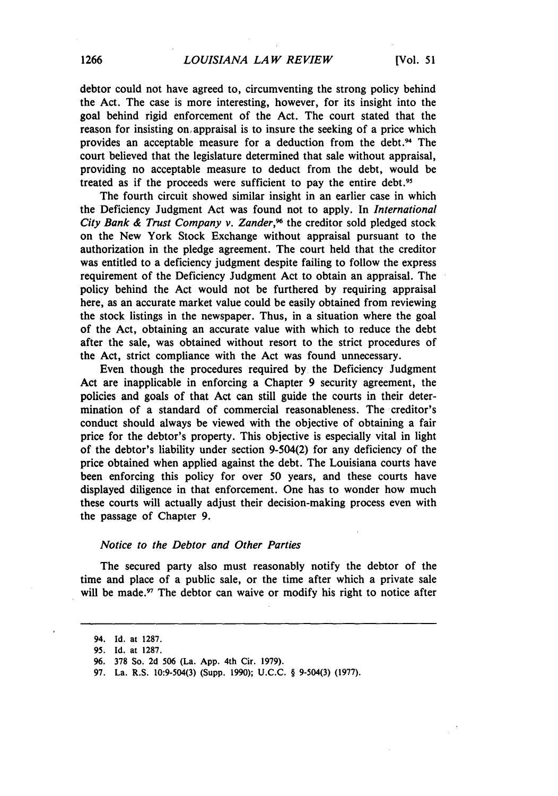debtor could not have agreed to, circumventing the strong policy behind the Act. The case is more interesting, however, for its insight into the goal behind rigid enforcement of the Act. The court stated that the reason for insisting *on,* appraisal is to insure the seeking of a price which provides an acceptable measure for a deduction from the debt.<sup>94</sup> The court believed that the legislature determined that sale without appraisal, providing no acceptable measure to deduct from the debt, would be treated as if the proceeds were sufficient to pay the entire debt.<sup>95</sup>

The fourth circuit showed similar insight in an earlier case in which the Deficiency Judgment Act was found not to apply. In *International* City Bank & Trust Company v. Zander,<sup>96</sup> the creditor sold pledged stock on the New York Stock Exchange without appraisal pursuant to the authorization in the pledge agreement. The court held that the creditor was entitled to a deficiency judgment despite failing to follow the express requirement of the Deficiency Judgment Act to obtain an appraisal. The policy behind the Act would not be furthered by requiring appraisal here, as an accurate market value could be easily obtained from reviewing the stock listings in the newspaper. Thus, in a situation where the goal of the Act, obtaining an accurate value with which to reduce the debt after the sale, was obtained without resort to the strict procedures of the Act, strict compliance with the Act was found unnecessary.

Even though the procedures required by the Deficiency Judgment Act are inapplicable in enforcing a Chapter 9 security agreement, the policies and goals of that Act can still guide the courts in their determination of a standard of commercial reasonableness. The creditor's conduct should always be viewed with the objective of obtaining a fair price for the debtor's property. This objective is especially vital in light of the debtor's liability under section 9-504(2) for any deficiency of the price obtained when applied against the debt. The Louisiana courts have been enforcing this policy for over 50 years, and these courts have displayed diligence in that enforcement. One has to wonder how much these courts will actually adjust their decision-making process even with the passage of Chapter 9.

#### Notice to the Debtor and Other Parties

The secured party also must reasonably notify the debtor of the time and place of a public sale, or the time after which a private sale will be made.<sup>97</sup> The debtor can waive or modify his right to notice after

**<sup>94.</sup> Id.** at **1287.**

**<sup>95.</sup> Id.** at **1287.**

**<sup>96. 378</sup>** So. **2d 506** (La. **App. 4th** Cir. **1979).**

**<sup>97.</sup>** La. R.S. 10:9-504(3) (Supp. **1990); U.C.C.** § **9-504(3) (1977).**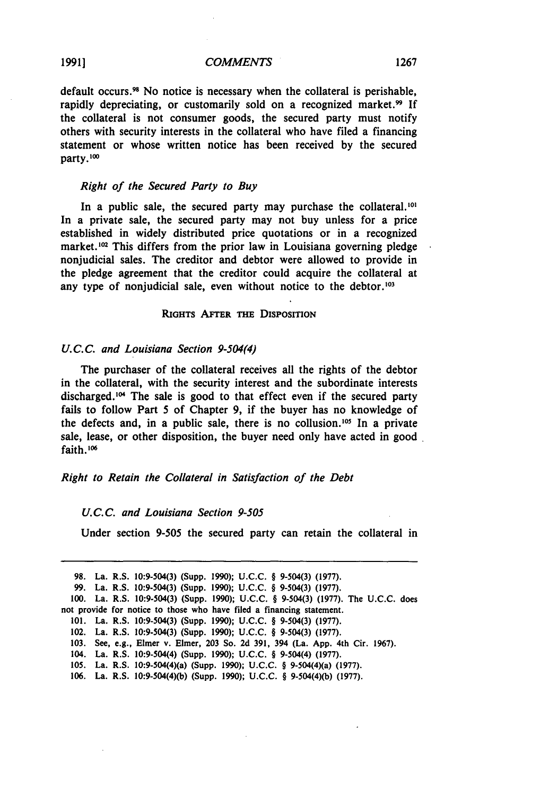default occurs. 98 No notice is necessary when the collateral is perishable, rapidly depreciating, or customarily sold on a recognized market.<sup>99</sup> If the collateral is not consumer goods, the secured party must notify others with security interests in the collateral who have filed a financing statement or whose written notice has been received by the secured party. **'**

#### Right *of the* Secured *Party to Buy*

In a public sale, the secured party may purchase the collateral.<sup>101</sup> In a private sale, the secured party may not buy unless for a price established in widely distributed price quotations or in a recognized market.<sup>102</sup> This differs from the prior law in Louisiana governing pledge nonjudicial sales. The creditor and debtor were allowed to provide in the pledge agreement that the creditor could acquire the collateral at any type of nonjudicial sale, even without notice to the debtor.'03

#### RIGHTS AFTER THE DISPOSITION

#### *U.C.C. and Louisiana Section 9-504(4)*

The purchaser of the collateral receives all the rights of the debtor in the collateral, with the security interest and the subordinate interests discharged.<sup>104</sup> The sale is good to that effect even if the secured party fails to follow Part 5 of Chapter 9, if the buyer has no knowledge of the defects and, in a public sale, there is no collusion.<sup>105</sup> In a private sale, lease, or other disposition, the buyer need only have acted in good faith. **<sup>1</sup> 0**

#### *Right to Retain the Collateral in Satisfaction of the Debt*

#### *U.C.C. and Louisiana Section 9-505*

Under section 9-505 the secured party can retain the collateral in

|  | 98. La. R.S. 10:9-504(3) (Supp. 1990); U.C.C. § 9-504(3) (1977).                  |
|--|-----------------------------------------------------------------------------------|
|  | 99. La. R.S. 10:9-504(3) (Supp. 1990); U.C.C. § 9-504(3) (1977).                  |
|  | 100. La. R.S. 10:9-504(3) (Supp. 1990); U.C.C. § 9-504(3) (1977). The U.C.C. does |
|  | not provide for notice to those who have filed a financing statement.             |
|  | 101. La. R.S. 10:9-504(3) (Supp. 1990); U.C.C. § 9-504(3) (1977).                 |
|  | 102. La. R.S. 10:9-504(3) (Supp. 1990); U.C.C. § 9-504(3) (1977).                 |
|  | 103. See, e.g., Elmer v. Elmer, 203 So. 2d 391, 394 (La. App. 4th Cir. 1967).     |
|  | 104. La. R.S. 10:9-504(4) (Supp. 1990); U.C.C. § 9-504(4) (1977).                 |
|  | 105. La. R.S. 10:9-504(4)(a) (Supp. 1990); U.C.C. § 9-504(4)(a) (1977).           |
|  | 106. La. R.S. 10:9-504(4)(b) (Supp. 1990); U.C.C. § 9-504(4)(b) (1977).           |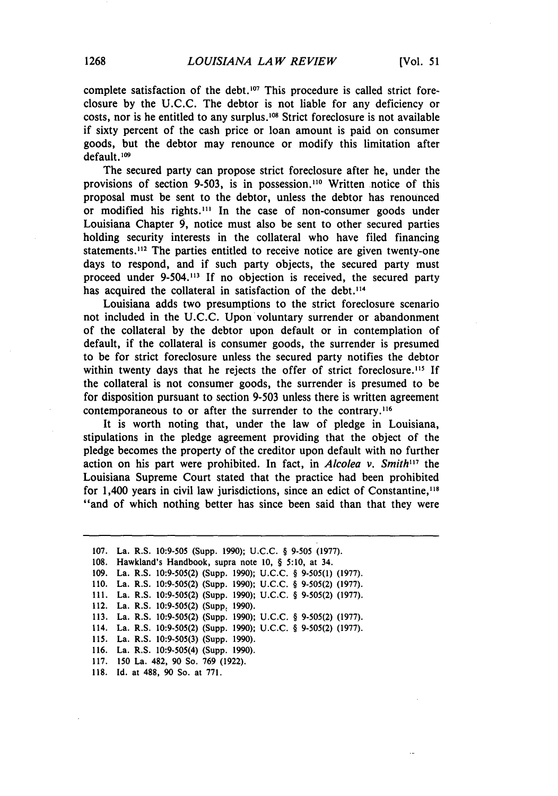complete satisfaction of the debt.<sup>107</sup> This procedure is called strict foreclosure **by** the **U.C.C.** The debtor is not liable for any deficiency or costs, nor is he entitled to any surplus.<sup>108</sup> Strict foreclosure is not available if sixty percent of the cash price or loan amount is paid on consumer goods, but the debtor may renounce or modify this limitation after default.<sup>109</sup>

The secured party can propose strict foreclosure after he, under the provisions of section 9-503, is in possession.<sup>110</sup> Written notice of this proposal must be sent to the debtor, unless the debtor has renounced or modified his rights.<sup>111</sup> In the case of non-consumer goods under Louisiana Chapter **9,** notice must also be sent to other secured parties holding security interests in the collateral who have filed financing statements. $112$  The parties entitled to receive notice are given twenty-one days to respond, and if such party objects, the secured party must proceed under 9-504."1 If no objection is received, the secured party has acquired the collateral in satisfaction of the debt.<sup>114</sup>

Louisiana adds two presumptions to the strict foreclosure scenario not included in the U.C.C. Upon voluntary surrender or abandonment of the collateral by the debtor upon default or in contemplation of default, if the collateral is consumer goods, the surrender is presumed to be for strict foreclosure unless the secured party notifies the debtor within twenty days that he rejects the offer of strict foreclosure.<sup>115</sup> If the collateral is not consumer goods, the surrender is presumed to be for disposition pursuant to section 9-503 unless there is written agreement contemporaneous to or after the surrender to the contrary.<sup>116</sup>

It is worth noting that, under the law of pledge in Louisiana, stipulations in the pledge agreement providing that the object of the pledge becomes the property of the creditor upon default with no further action on his part were prohibited. In fact, in *Alcolea v. Smith*<sup>117</sup> the Louisiana Supreme Court stated that the practice had been prohibited for 1,400 years in civil law jurisdictions, since an edict of Constantine,"<sup>8</sup> "and of which nothing better has since been said than that they were

118. Id. at **488,** 90 So. at 771.

<sup>107.</sup> La. R.S. 10:9-505 (Supp. 1990); U.C.C. § 9-505 (1977). 108. Hawkland's Handbook, supra note 10, § 5:10, at 34. 109. La. R.S. 10:9-505(2) (Supp. 1990); U.C.C. § 9-505(1) (1977). 110. La. R.S. 10:9-505(2) (Supp. 1990); U.C.C. § 9-505(2) (1977). 111. La. R.S. 10:9-505(2) (Supp. 1990); U.C.C. § 9-505(2) (1977). 112. La. R.S. 10:9-505(2) (Supp. 1990). 113. La. R.S. 10:9-505(2) (Supp. 1990); U.C.C. § 9-505(2) (1977). 114. La. R.S. 10:9-505(2) (Supp. 1990); U.C.C. § 9-505(2) (1977). 115. La. R.S. 10:9-505(3) (Supp. 1990). 116. La. R.S. 10:9-505(4) (Supp. 1990). 117. 150 La. 482, 90 So. 769 (1922).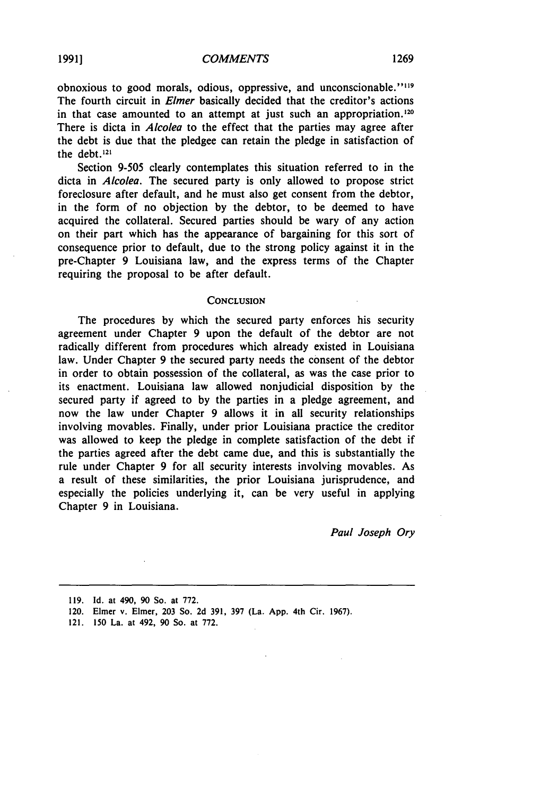obnoxious to good morals, odious, oppressive, and unconscionable."<sup>119</sup> The fourth circuit in *Elmer* basically decided that the creditor's actions in that case amounted to an attempt at just such an appropriation.<sup>120</sup> There is dicta in *Alcolea* to the effect that the parties may agree after the debt is due that the pledgee can retain the pledge in satisfaction of the debt.121

Section **9-505** clearly contemplates this situation referred to in the dicta in *Alcolea.* The secured party is only allowed to propose strict foreclosure after default, and he must also get consent from the debtor, in the form of no objection by the debtor, to be deemed to have acquired the collateral. Secured parties should be wary of any action on their part which has the appearance of bargaining for this sort of consequence prior to default, due to the strong policy against it in the pre-Chapter 9 Louisiana law, and the express terms of the Chapter requiring the proposal to be after default.

#### **CONCLUSION**

The procedures by which the secured party enforces his security agreement under Chapter **9** upon the default of the debtor are not radically different from procedures which already existed in Louisiana law. Under Chapter **9** the secured party needs the consent of the debtor in order to obtain possession of the collateral, as was the case prior to its enactment. Louisiana law allowed nonjudicial disposition by the secured party if agreed to by the parties in a pledge agreement, and now the law under Chapter **9** allows it in all security relationships involving movables. Finally, under prior Louisiana practice the creditor was allowed to keep the pledge in complete satisfaction of the debt if the parties agreed after the debt came due, and this is substantially the rule under Chapter **9** for all security interests involving movables. As a result of these similarities, the prior Louisiana jurisprudence, and especially the policies underlying it, can be very useful in applying Chapter **9** in Louisiana.

*Paul Joseph Ory*

**<sup>119.</sup>** Id. at 490, **90** So. at **772.**

<sup>120.</sup> Elmer v. Elmer, **203** So. **2d 391, 397** (La. **App.** 4th Cir. **1967).**

<sup>121.</sup> **150** La. at 492, **90** So. at **772.**